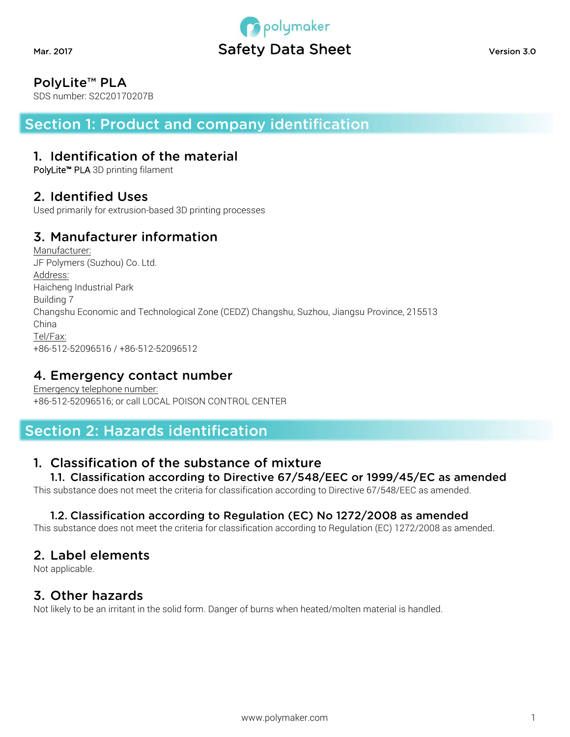

## PolyLite™ PLA

SDS number: S2C20170207B

Section 1: Product and company identification

#### 1. Identification of the material

PolyLite™ PLA 3D printing filament

#### 2. Identified Uses

Used primarily for extrusion-based 3D printing processes

## 3. Manufacturer information

Manufacturer: JF Polymers (Suzhou) Co. Ltd. Address: Haicheng Industrial Park Building 7 Changshu Economic and Technological Zone (CEDZ) Changshu, Suzhou, Jiangsu Province, 215513 China Tel/Fax: +86-512-52096516 / +86-512-52096512

### 4. Emergency contact number

Emergency telephone number: +86-512-52096516; or call LOCAL POISON CONTROL CENTER

# Section 2: Hazards identification

### 1. Classification of the substance of mixture

1.1. Classification according to Directive 67/548/EEC or 1999/45/EC as amended

This substance does not meet the criteria for classification according to Directive 67/548/EEC as amended.

#### 1.2. Classification according to Regulation (EC) No 1272/2008 as amended

This substance does not meet the criteria for classification according to Regulation (EC) 1272/2008 as amended.

#### 2. Label elements

Not applicable.

### 3. Other hazards

Not likely to be an irritant in the solid form. Danger of burns when heated/molten material is handled.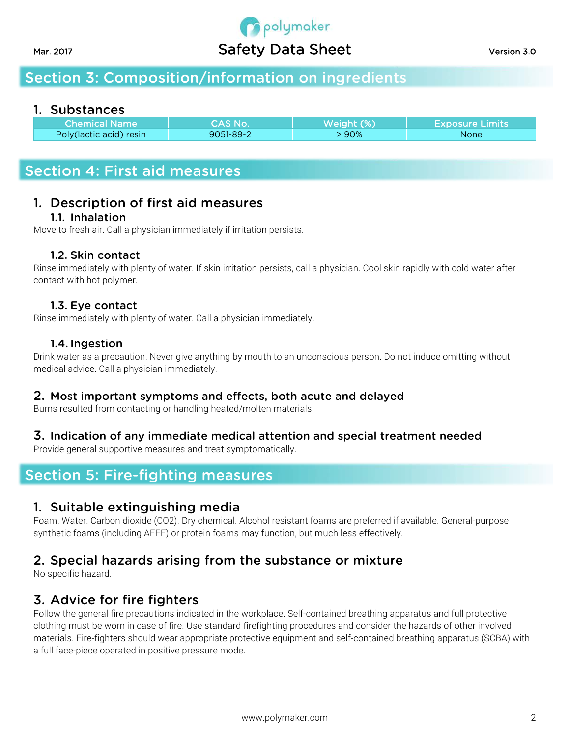

# Section 3: Composition/information on ingredients

#### 1. Substances

| <b>Chemical Name</b>     | <b>CAS No. 4</b> | Weight (%) | <b>Exposure Limits</b> |
|--------------------------|------------------|------------|------------------------|
| Poly (lactic acid) resin | $9051 - 89 - 2$  | $90\%$     | None                   |

## Section 4: First aid measures

# 1. Description of first aid measures

#### 1.1. Inhalation

Move to fresh air. Call a physician immediately if irritation persists.

#### 1.2. Skin contact

Rinse immediately with plenty of water. If skin irritation persists, call a physician. Cool skin rapidly with cold water after contact with hot polymer.

#### 1.3. Eye contact

Rinse immediately with plenty of water. Call a physician immediately.

#### 1.4. Ingestion

Drink water as a precaution. Never give anything by mouth to an unconscious person. Do not induce omitting without medical advice. Call a physician immediately.

#### 2. Most important symptoms and effects, both acute and delayed

Burns resulted from contacting or handling heated/molten materials

#### 3. Indication of any immediate medical attention and special treatment needed

Provide general supportive measures and treat symptomatically.

## Section 5: Fire-fighting measures

#### 1. Suitable extinguishing media

Foam. Water. Carbon dioxide (CO2). Dry chemical. Alcohol resistant foams are preferred if available. General-purpose synthetic foams (including AFFF) or protein foams may function, but much less effectively.

## 2. Special hazards arising from the substance or mixture

No specific hazard.

#### 3. Advice for fire fighters

Follow the general fire precautions indicated in the workplace. Self-contained breathing apparatus and full protective clothing must be worn in case of fire. Use standard firefighting procedures and consider the hazards of other involved materials. Fire-fighters should wear appropriate protective equipment and self-contained breathing apparatus (SCBA) with a full face-piece operated in positive pressure mode.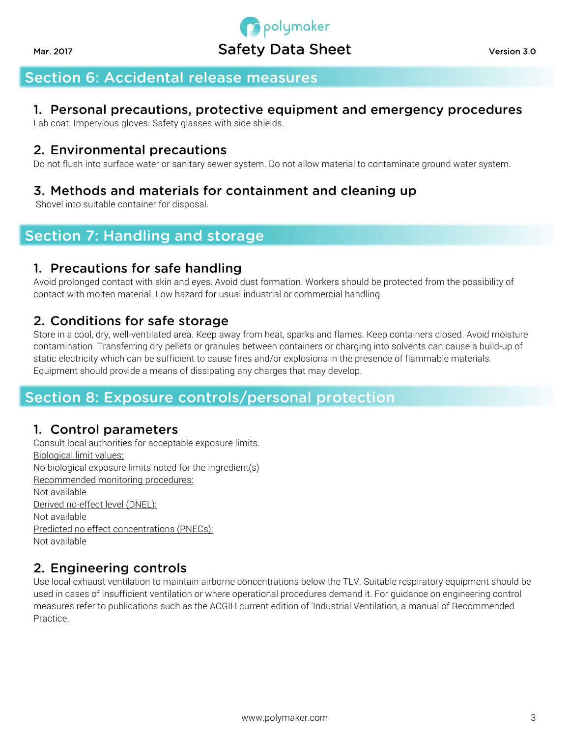# **Opolymaker** Mar. 2017 **Safety Data Sheet** Version 3.0

# Section 6: Accidental release measures

## 1. Personal precautions, protective equipment and emergency procedures

Lab coat. Impervious gloves. Safety glasses with side shields.

### 2. Environmental precautions

Do not flush into surface water or sanitary sewer system. Do not allow material to contaminate ground water system.

## 3. Methods and materials for containment and cleaning up

Shovel into suitable container for disposal.

# Section 7: Handling and storage

## 1. Precautions for safe handling

Avoid prolonged contact with skin and eyes. Avoid dust formation. Workers should be protected from the possibility of contact with molten material. Low hazard for usual industrial or commercial handling.

## 2. Conditions for safe storage

Store in a cool, dry, well-ventilated area. Keep away from heat, sparks and flames. Keep containers closed. Avoid moisture contamination. Transferring dry pellets or granules between containers or charging into solvents can cause a build-up of static electricity which can be sufficient to cause fires and/or explosions in the presence of flammable materials. Equipment should provide a means of dissipating any charges that may develop.

## Section 8: Exposure controls/personal protection

### 1. Control parameters

Consult local authorities for acceptable exposure limits. Biological limit values: No biological exposure limits noted for the ingredient(s) Recommended monitoring procedures: Not available Derived no-effect level (DNEL): Not available Predicted no effect concentrations (PNECs): Not available

## 2. Engineering controls

Use local exhaust ventilation to maintain airborne concentrations below the TLV. Suitable respiratory equipment should be used in cases of insufficient ventilation or where operational procedures demand it. For guidance on engineering control measures refer to publications such as the ACGIH current edition of 'Industrial Ventilation, a manual of Recommended Practice.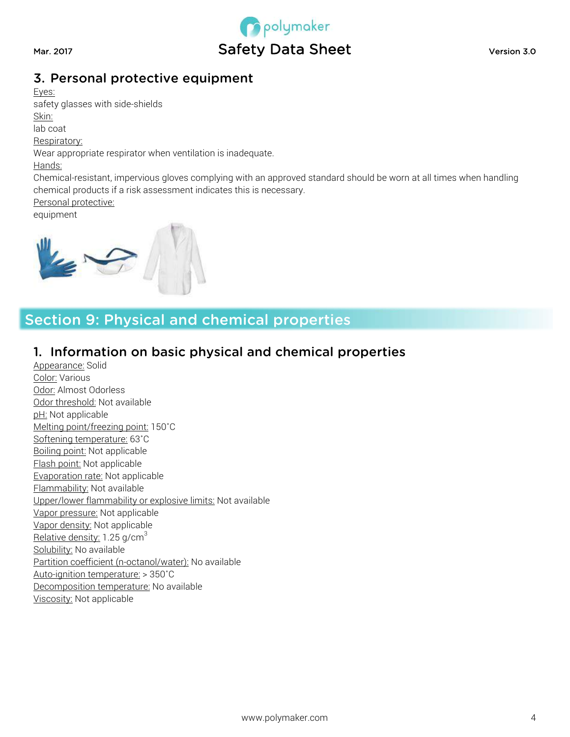

## 3. Personal protective equipment

Eyes:

safety glasses with side-shields

Skin: lab coat

Respiratory:

Wear appropriate respirator when ventilation is inadequate.

Hands:

Chemical-resistant, impervious gloves complying with an approved standard should be worn at all times when handling chemical products if a risk assessment indicates this is necessary.

Personal protective:

equipment



# Section 9: Physical and chemical properties

### 1. Information on basic physical and chemical properties

Appearance: Solid Color: Various Odor: Almost Odorless Odor threshold: Not available pH: Not applicable Melting point/freezing point: 150˚C Softening temperature: 63˚C Boiling point: Not applicable Flash point: Not applicable Evaporation rate: Not applicable Flammability: Not available Upper/lower flammability or explosive limits: Not available Vapor pressure: Not applicable Vapor density: Not applicable Relative density: 1.25 g/cm<sup>3</sup> Solubility: No available Partition coefficient (n-octanol/water): No available Auto-ignition temperature: > 350˚C Decomposition temperature: No available Viscosity: Not applicable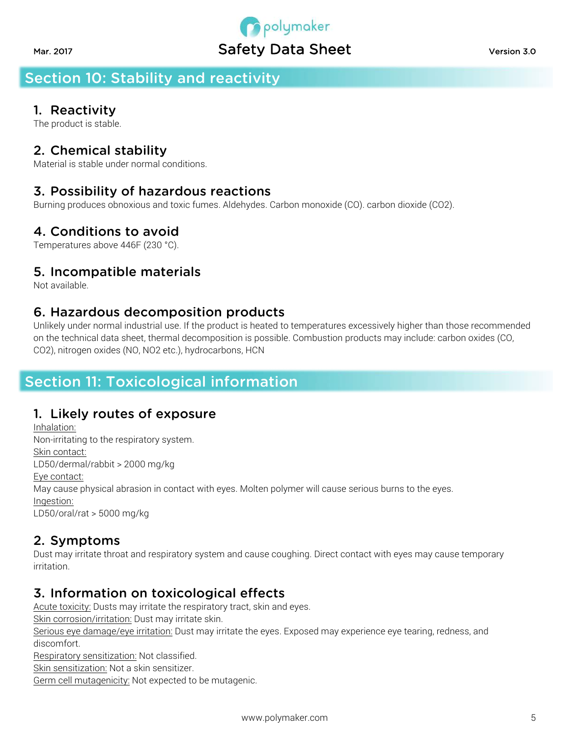# polymaker Mar. 2017 **Safety Data Sheet** Version 3.0

# Section 10: Stability and reactivity

# 1. Reactivity

The product is stable.

# 2. Chemical stability

Material is stable under normal conditions.

# 3. Possibility of hazardous reactions

Burning produces obnoxious and toxic fumes. Aldehydes. Carbon monoxide (CO). carbon dioxide (CO2).

# 4. Conditions to avoid

Temperatures above 446F (230 °C).

# 5. Incompatible materials

Not available.

#### 6. Hazardous decomposition products

Unlikely under normal industrial use. If the product is heated to temperatures excessively higher than those recommended on the technical data sheet, thermal decomposition is possible. Combustion products may include: carbon oxides (CO, CO2), nitrogen oxides (NO, NO2 etc.), hydrocarbons, HCN

# Section 11: Toxicological information

### 1. Likely routes of exposure

Inhalation: Non-irritating to the respiratory system. Skin contact: LD50/dermal/rabbit > 2000 mg/kg Eye contact: May cause physical abrasion in contact with eyes. Molten polymer will cause serious burns to the eyes. Ingestion: LD50/oral/rat > 5000 mg/kg

## 2. Symptoms

Dust may irritate throat and respiratory system and cause coughing. Direct contact with eyes may cause temporary irritation.

## 3. Information on toxicological effects

Acute toxicity: Dusts may irritate the respiratory tract, skin and eyes. Skin corrosion/irritation: Dust may irritate skin. Serious eye damage/eye irritation: Dust may irritate the eyes. Exposed may experience eye tearing, redness, and discomfort. Respiratory sensitization: Not classified. Skin sensitization: Not a skin sensitizer. Germ cell mutagenicity: Not expected to be mutagenic.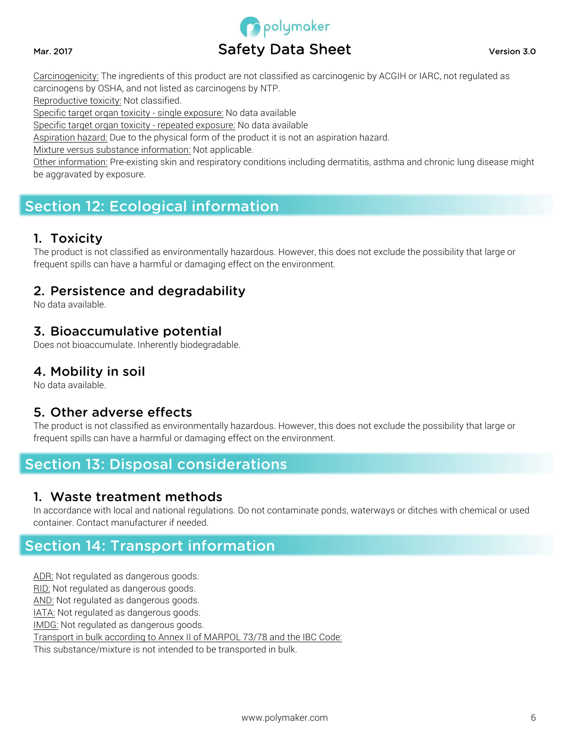

Carcinogenicity: The ingredients of this product are not classified as carcinogenic by ACGIH or IARC, not regulated as carcinogens by OSHA, and not listed as carcinogens by NTP.

Reproductive toxicity: Not classified.

Specific target organ toxicity - single exposure: No data available

Specific target organ toxicity - repeated exposure: No data available

Aspiration hazard: Due to the physical form of the product it is not an aspiration hazard.

Mixture versus substance information: Not applicable.

Other information: Pre-existing skin and respiratory conditions including dermatitis, asthma and chronic lung disease might be aggravated by exposure.

# Section 12: Ecological information

#### 1. Toxicity

The product is not classified as environmentally hazardous. However, this does not exclude the possibility that large or frequent spills can have a harmful or damaging effect on the environment.

#### 2. Persistence and degradability

No data available.

#### 3. Bioaccumulative potential

Does not bioaccumulate. Inherently biodegradable.

#### 4. Mobility in soil

No data available.

#### 5. Other adverse effects

The product is not classified as environmentally hazardous. However, this does not exclude the possibility that large or frequent spills can have a harmful or damaging effect on the environment.

# Section 13: Disposal considerations

#### 1. Waste treatment methods

In accordance with local and national regulations. Do not contaminate ponds, waterways or ditches with chemical or used container. Contact manufacturer if needed.

# Section 14: Transport information

ADR: Not regulated as dangerous goods.

RID: Not regulated as dangerous goods.

AND: Not regulated as dangerous goods.

IATA: Not regulated as dangerous goods.

IMDG: Not regulated as dangerous goods.

Transport in bulk according to Annex II of MARPOL 73/78 and the IBC Code:

This substance/mixture is not intended to be transported in bulk.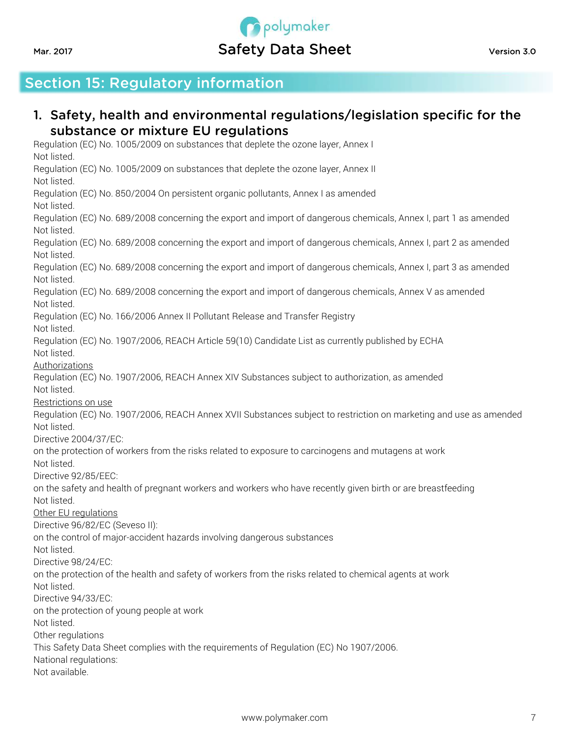# **P** polymaker Mar. 2017 **Safety Data Sheet** Version 3.0

# Section 15: Regulatory information

#### 1. Safety, health and environmental regulations/legislation specific for the substance or mixture EU regulations Regulation (EC) No. 1005/2009 on substances that deplete the ozone layer, Annex I Not listed. Regulation (EC) No. 1005/2009 on substances that deplete the ozone layer, Annex II Not listed. Regulation (EC) No. 850/2004 On persistent organic pollutants, Annex I as amended Not listed. Regulation (EC) No. 689/2008 concerning the export and import of dangerous chemicals, Annex I, part 1 as amended Not listed. Regulation (EC) No. 689/2008 concerning the export and import of dangerous chemicals, Annex I, part 2 as amended Not listed. Regulation (EC) No. 689/2008 concerning the export and import of dangerous chemicals, Annex I, part 3 as amended Not listed. Regulation (EC) No. 689/2008 concerning the export and import of dangerous chemicals, Annex V as amended Not listed. Regulation (EC) No. 166/2006 Annex II Pollutant Release and Transfer Registry Not listed. Regulation (EC) No. 1907/2006, REACH Article 59(10) Candidate List as currently published by ECHA Not listed. Authorizations Regulation (EC) No. 1907/2006, REACH Annex XIV Substances subject to authorization, as amended Not listed. Restrictions on use Regulation (EC) No. 1907/2006, REACH Annex XVII Substances subject to restriction on marketing and use as amended Not listed. Directive 2004/37/EC: on the protection of workers from the risks related to exposure to carcinogens and mutagens at work Not listed. Directive 92/85/EEC: on the safety and health of pregnant workers and workers who have recently given birth or are breastfeeding Not listed. Other EU regulations Directive 96/82/EC (Seveso II): on the control of major-accident hazards involving dangerous substances Not listed. Directive 98/24/EC: on the protection of the health and safety of workers from the risks related to chemical agents at work Not listed. Directive 94/33/EC: on the protection of young people at work Not listed. Other regulations This Safety Data Sheet complies with the requirements of Regulation (EC) No 1907/2006. National regulations: Not available.